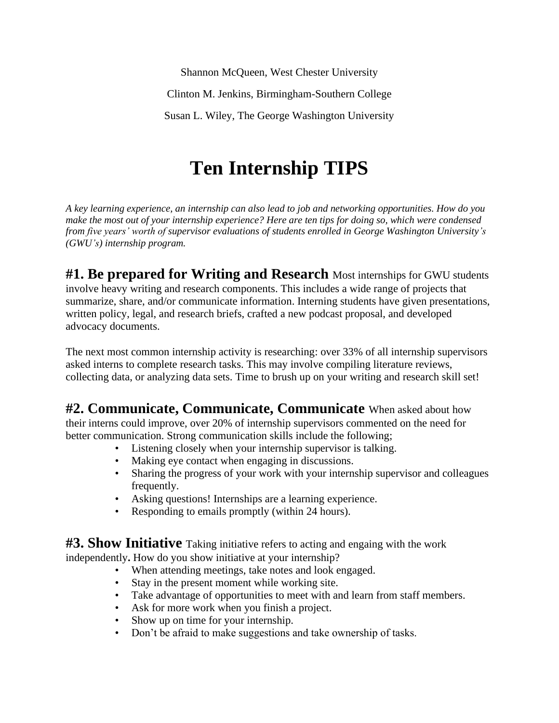Shannon McQueen, West Chester University Clinton M. Jenkins, Birmingham-Southern College Susan L. Wiley, The George Washington University

## **Ten Internship TIPS**

*A key learning experience, an internship can also lead to job and networking opportunities. How do you make the most out of your internship experience? Here are ten tips for doing so, which were condensed from five years' worth of supervisor evaluations of students enrolled in George Washington University's (GWU's) internship program.*

**#1. Be prepared for Writing and Research** Most internships for GWU students involve heavy writing and research components. This includes a wide range of projects that summarize, share, and/or communicate information. Interning students have given presentations, written policy, legal, and research briefs, crafted a new podcast proposal, and developed advocacy documents.

The next most common internship activity is researching: over 33% of all internship supervisors asked interns to complete research tasks. This may involve compiling literature reviews, collecting data, or analyzing data sets. Time to brush up on your writing and research skill set!

**#2. Communicate, Communicate, Communicate** When asked about how their interns could improve, over 20% of internship supervisors commented on the need for better communication. Strong communication skills include the following;

- Listening closely when your internship supervisor is talking.
- Making eye contact when engaging in discussions.
- Sharing the progress of your work with your internship supervisor and colleagues frequently.
- Asking questions! Internships are a learning experience.
- Responding to emails promptly (within 24 hours).

**#3. Show Initiative** Taking initiative refers to acting and engaing with the work independently**.** How do you show initiative at your internship?

- When attending meetings, take notes and look engaged.
- Stay in the present moment while working site.
- Take advantage of opportunities to meet with and learn from staff members.
- Ask for more work when you finish a project.
- Show up on time for your internship.
- Don't be afraid to make suggestions and take ownership of tasks.